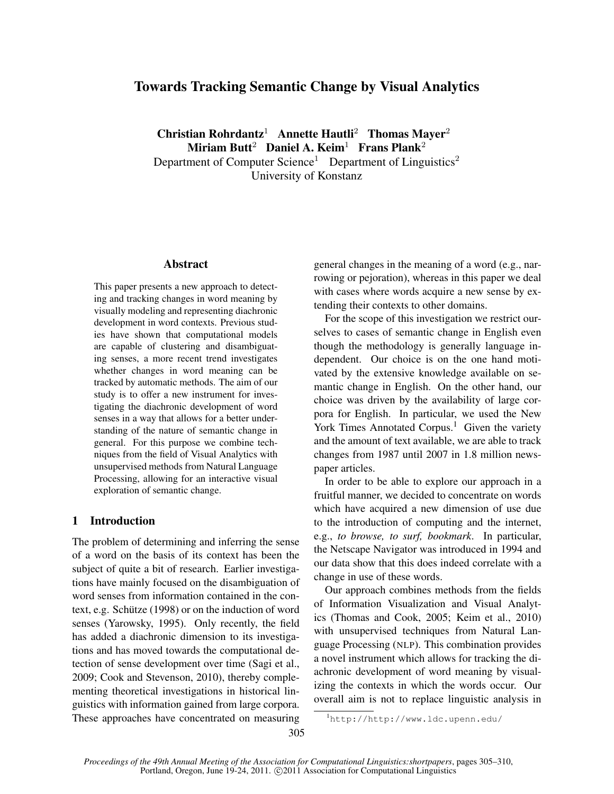# Towards Tracking Semantic Change by Visual Analytics

Christian Rohrdantz<sup>1</sup> Annette Hautli<sup>2</sup> Thomas Mayer<sup>2</sup> Miriam Butt<sup>2</sup> Daniel A. Keim<sup>1</sup> Frans Plank<sup>2</sup> Department of Computer Science<sup>1</sup> Department of Linguistics<sup>2</sup> University of Konstanz

### Abstract

This paper presents a new approach to detecting and tracking changes in word meaning by visually modeling and representing diachronic development in word contexts. Previous studies have shown that computational models are capable of clustering and disambiguating senses, a more recent trend investigates whether changes in word meaning can be tracked by automatic methods. The aim of our study is to offer a new instrument for investigating the diachronic development of word senses in a way that allows for a better understanding of the nature of semantic change in general. For this purpose we combine techniques from the field of Visual Analytics with unsupervised methods from Natural Language Processing, allowing for an interactive visual exploration of semantic change.

#### 1 Introduction

The problem of determining and inferring the sense of a word on the basis of its context has been the subject of quite a bit of research. Earlier investigations have mainly focused on the disambiguation of word senses from information contained in the context, e.g. Schütze (1998) or on the induction of word senses (Yarowsky, 1995). Only recently, the field has added a diachronic dimension to its investigations and has moved towards the computational detection of sense development over time (Sagi et al., 2009; Cook and Stevenson, 2010), thereby complementing theoretical investigations in historical linguistics with information gained from large corpora. These approaches have concentrated on measuring general changes in the meaning of a word (e.g., narrowing or pejoration), whereas in this paper we deal with cases where words acquire a new sense by extending their contexts to other domains.

For the scope of this investigation we restrict ourselves to cases of semantic change in English even though the methodology is generally language independent. Our choice is on the one hand motivated by the extensive knowledge available on semantic change in English. On the other hand, our choice was driven by the availability of large corpora for English. In particular, we used the New York Times Annotated Corpus.<sup>1</sup> Given the variety and the amount of text available, we are able to track changes from 1987 until 2007 in 1.8 million newspaper articles.

In order to be able to explore our approach in a fruitful manner, we decided to concentrate on words which have acquired a new dimension of use due to the introduction of computing and the internet, e.g., *to browse, to surf, bookmark*. In particular, the Netscape Navigator was introduced in 1994 and our data show that this does indeed correlate with a change in use of these words.

Our approach combines methods from the fields of Information Visualization and Visual Analytics (Thomas and Cook, 2005; Keim et al., 2010) with unsupervised techniques from Natural Language Processing (NLP). This combination provides a novel instrument which allows for tracking the diachronic development of word meaning by visualizing the contexts in which the words occur. Our overall aim is not to replace linguistic analysis in

<sup>1</sup>http://http://www.ldc.upenn.edu/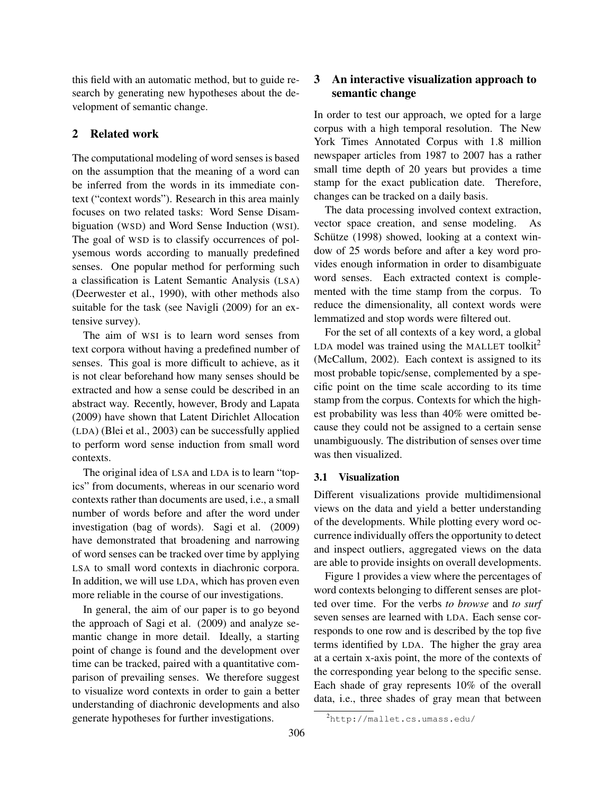this field with an automatic method, but to guide research by generating new hypotheses about the development of semantic change.

## 2 Related work

The computational modeling of word senses is based on the assumption that the meaning of a word can be inferred from the words in its immediate context ("context words"). Research in this area mainly focuses on two related tasks: Word Sense Disambiguation (WSD) and Word Sense Induction (WSI). The goal of WSD is to classify occurrences of polysemous words according to manually predefined senses. One popular method for performing such a classification is Latent Semantic Analysis (LSA) (Deerwester et al., 1990), with other methods also suitable for the task (see Navigli (2009) for an extensive survey).

The aim of WSI is to learn word senses from text corpora without having a predefined number of senses. This goal is more difficult to achieve, as it is not clear beforehand how many senses should be extracted and how a sense could be described in an abstract way. Recently, however, Brody and Lapata (2009) have shown that Latent Dirichlet Allocation (LDA) (Blei et al., 2003) can be successfully applied to perform word sense induction from small word contexts.

The original idea of LSA and LDA is to learn "topics" from documents, whereas in our scenario word contexts rather than documents are used, i.e., a small number of words before and after the word under investigation (bag of words). Sagi et al. (2009) have demonstrated that broadening and narrowing of word senses can be tracked over time by applying LSA to small word contexts in diachronic corpora. In addition, we will use LDA, which has proven even more reliable in the course of our investigations.

In general, the aim of our paper is to go beyond the approach of Sagi et al. (2009) and analyze semantic change in more detail. Ideally, a starting point of change is found and the development over time can be tracked, paired with a quantitative comparison of prevailing senses. We therefore suggest to visualize word contexts in order to gain a better understanding of diachronic developments and also generate hypotheses for further investigations.

## 3 An interactive visualization approach to semantic change

In order to test our approach, we opted for a large corpus with a high temporal resolution. The New York Times Annotated Corpus with 1.8 million newspaper articles from 1987 to 2007 has a rather small time depth of 20 years but provides a time stamp for the exact publication date. Therefore, changes can be tracked on a daily basis.

The data processing involved context extraction, vector space creation, and sense modeling. As Schütze (1998) showed, looking at a context window of 25 words before and after a key word provides enough information in order to disambiguate word senses. Each extracted context is complemented with the time stamp from the corpus. To reduce the dimensionality, all context words were lemmatized and stop words were filtered out.

For the set of all contexts of a key word, a global LDA model was trained using the MALLET toolkit<sup>2</sup> (McCallum, 2002). Each context is assigned to its most probable topic/sense, complemented by a specific point on the time scale according to its time stamp from the corpus. Contexts for which the highest probability was less than 40% were omitted because they could not be assigned to a certain sense unambiguously. The distribution of senses over time was then visualized.

#### 3.1 Visualization

Different visualizations provide multidimensional views on the data and yield a better understanding of the developments. While plotting every word occurrence individually offers the opportunity to detect and inspect outliers, aggregated views on the data are able to provide insights on overall developments.

Figure 1 provides a view where the percentages of word contexts belonging to different senses are plotted over time. For the verbs *to browse* and *to surf* seven senses are learned with LDA. Each sense corresponds to one row and is described by the top five terms identified by LDA. The higher the gray area at a certain x-axis point, the more of the contexts of the corresponding year belong to the specific sense. Each shade of gray represents 10% of the overall data, i.e., three shades of gray mean that between

<sup>2</sup>http://mallet.cs.umass.edu/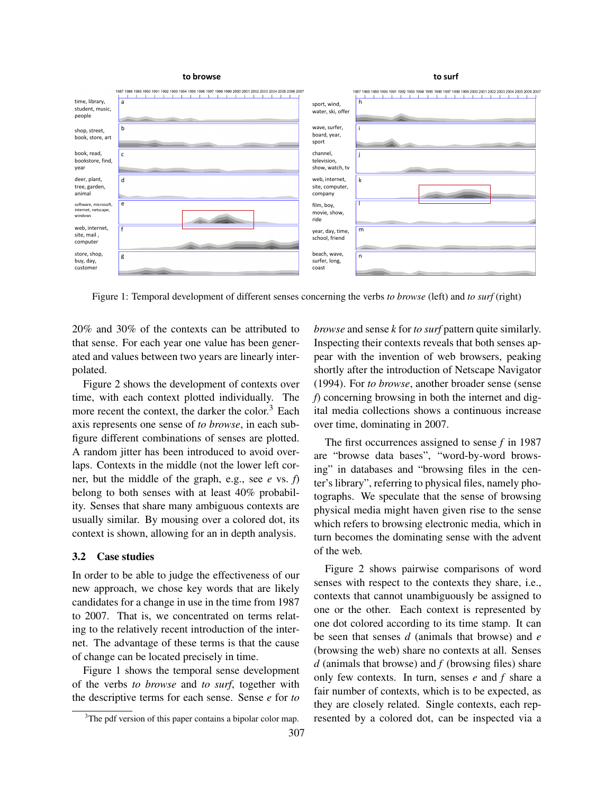



Figure 1: Temporal development of different senses concerning the verbs *to browse* (left) and *to surf* (right)

20% and 30% of the contexts can be attributed to that sense. For each year one value has been generated and values between two years are linearly interpolated.

Figure 2 shows the development of contexts over time, with each context plotted individually. The more recent the context, the darker the color. $3$  Each axis represents one sense of *to browse*, in each subfigure different combinations of senses are plotted. A random jitter has been introduced to avoid overlaps. Contexts in the middle (not the lower left corner, but the middle of the graph, e.g., see *e* vs. *f*) belong to both senses with at least 40% probability. Senses that share many ambiguous contexts are usually similar. By mousing over a colored dot, its context is shown, allowing for an in depth analysis.

#### 3.2 Case studies

In order to be able to judge the effectiveness of our new approach, we chose key words that are likely candidates for a change in use in the time from 1987 to 2007. That is, we concentrated on terms relating to the relatively recent introduction of the internet. The advantage of these terms is that the cause of change can be located precisely in time.

Figure 1 shows the temporal sense development of the verbs *to browse* and *to surf*, together with the descriptive terms for each sense. Sense *e* for *to* *browse* and sense *k* for *to surf* pattern quite similarly. Inspecting their contexts reveals that both senses appear with the invention of web browsers, peaking shortly after the introduction of Netscape Navigator (1994). For *to browse*, another broader sense (sense *f*) concerning browsing in both the internet and digital media collections shows a continuous increase over time, dominating in 2007.

The first occurrences assigned to sense *f* in 1987 are "browse data bases", "word-by-word browsing" in databases and "browsing files in the center's library", referring to physical files, namely photographs. We speculate that the sense of browsing physical media might haven given rise to the sense which refers to browsing electronic media, which in turn becomes the dominating sense with the advent of the web.

Figure 2 shows pairwise comparisons of word senses with respect to the contexts they share, i.e., contexts that cannot unambiguously be assigned to one or the other. Each context is represented by one dot colored according to its time stamp. It can be seen that senses *d* (animals that browse) and *e* (browsing the web) share no contexts at all. Senses *d* (animals that browse) and *f* (browsing files) share only few contexts. In turn, senses *e* and *f* share a fair number of contexts, which is to be expected, as they are closely related. Single contexts, each represented by a colored dot, can be inspected via a

<sup>&</sup>lt;sup>3</sup>The pdf version of this paper contains a bipolar color map.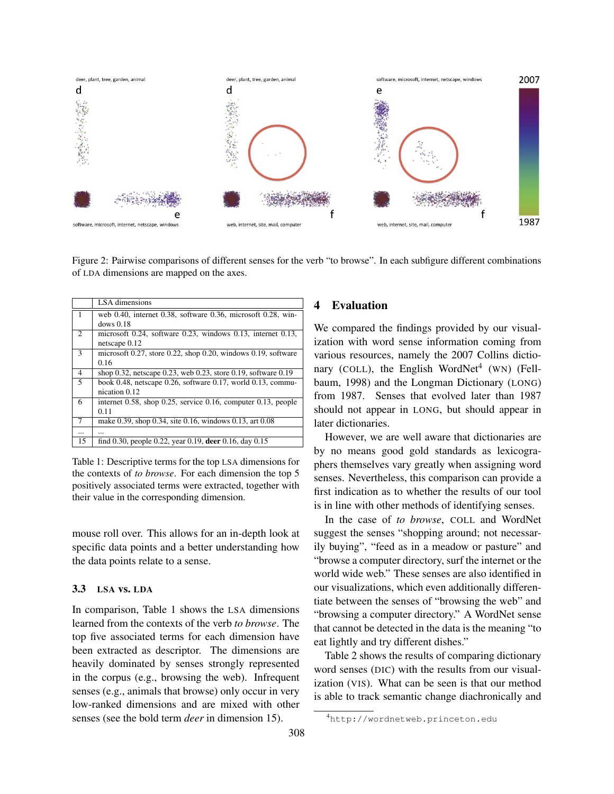

Figure 2: Pairwise comparisons of different senses for the verb "to browse". In each subfigure different combinations of LDA dimensions are mapped on the axes.

|                | LSA dimensions                                                            |
|----------------|---------------------------------------------------------------------------|
| $\overline{1}$ | web 0.40, internet 0.38, software 0.36, microsoft 0.28, win-              |
|                | dows 0.18                                                                 |
| $\overline{2}$ | microsoft 0.24, software 0.23, windows 0.13, internet 0.13,               |
|                | netscape $0.12$                                                           |
| 3              | microsoft 0.27, store 0.22, shop 0.20, windows 0.19, software             |
|                | 0.16                                                                      |
| 4              | shop 0.32, netscape 0.23, web 0.23, store 0.19, software 0.19             |
| 5              | book 0.48, netscape $0.26$ , software 0.17, world 0.13, commu-            |
|                | nication 0.12                                                             |
| 6              | internet $0.58$ , shop $0.25$ , service $0.16$ , computer $0.13$ , people |
|                | 0.11                                                                      |
| 7              | make 0.39, shop 0.34, site 0.16, windows 0.13, art 0.08                   |
| $\cdots$       |                                                                           |
| 15             | find 0.30, people 0.22, year 0.19, deer 0.16, day 0.15                    |

Table 1: Descriptive terms for the top LSA dimensions for the contexts of *to browse*. For each dimension the top 5 positively associated terms were extracted, together with their value in the corresponding dimension.

mouse roll over. This allows for an in-depth look at specific data points and a better understanding how the data points relate to a sense.

#### 3.3 LSA vs. LDA

In comparison, Table 1 shows the LSA dimensions learned from the contexts of the verb *to browse*. The top five associated terms for each dimension have been extracted as descriptor. The dimensions are heavily dominated by senses strongly represented in the corpus (e.g., browsing the web). Infrequent senses (e.g., animals that browse) only occur in very low-ranked dimensions and are mixed with other senses (see the bold term *deer* in dimension 15).

## 4 Evaluation

We compared the findings provided by our visualization with word sense information coming from various resources, namely the 2007 Collins dictionary (COLL), the English WordNet<sup>4</sup> (WN) (Fellbaum, 1998) and the Longman Dictionary (LONG) from 1987. Senses that evolved later than 1987 should not appear in LONG, but should appear in later dictionaries.

However, we are well aware that dictionaries are by no means good gold standards as lexicographers themselves vary greatly when assigning word senses. Nevertheless, this comparison can provide a first indication as to whether the results of our tool is in line with other methods of identifying senses.

In the case of *to browse*, COLL and WordNet suggest the senses "shopping around; not necessarily buying", "feed as in a meadow or pasture" and "browse a computer directory, surf the internet or the world wide web." These senses are also identified in our visualizations, which even additionally differentiate between the senses of "browsing the web" and "browsing a computer directory." A WordNet sense that cannot be detected in the data is the meaning "to eat lightly and try different dishes."

Table 2 shows the results of comparing dictionary word senses (DIC) with the results from our visualization (VIS). What can be seen is that our method is able to track semantic change diachronically and

<sup>4</sup>http://wordnetweb.princeton.edu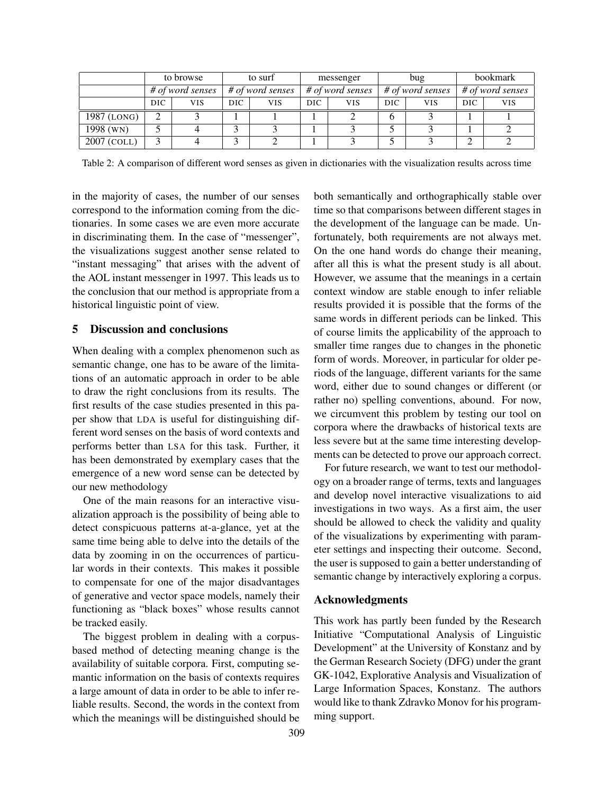|               | to browse        |     | to surf          |            | messenger        |      | bug              |            | bookmark         |            |
|---------------|------------------|-----|------------------|------------|------------------|------|------------------|------------|------------------|------------|
|               | # of word senses |     | # of word senses |            | # of word senses |      | # of word senses |            | # of word senses |            |
|               | DIC              | VIS | DIC.             | <b>VIS</b> | DIC.             | VIS. | DIC.             | <b>VIS</b> | DIC.             | <b>VIS</b> |
| 1987 (LONG)   |                  |     |                  |            |                  |      | h                |            |                  |            |
| 1998 (WN)     |                  |     |                  |            |                  |      |                  |            |                  |            |
| $2007$ (COLL) |                  |     |                  |            |                  |      |                  |            |                  |            |

Table 2: A comparison of different word senses as given in dictionaries with the visualization results across time

in the majority of cases, the number of our senses correspond to the information coming from the dictionaries. In some cases we are even more accurate in discriminating them. In the case of "messenger", the visualizations suggest another sense related to "instant messaging" that arises with the advent of the AOL instant messenger in 1997. This leads us to the conclusion that our method is appropriate from a historical linguistic point of view.

#### 5 Discussion and conclusions

When dealing with a complex phenomenon such as semantic change, one has to be aware of the limitations of an automatic approach in order to be able to draw the right conclusions from its results. The first results of the case studies presented in this paper show that LDA is useful for distinguishing different word senses on the basis of word contexts and performs better than LSA for this task. Further, it has been demonstrated by exemplary cases that the emergence of a new word sense can be detected by our new methodology

One of the main reasons for an interactive visualization approach is the possibility of being able to detect conspicuous patterns at-a-glance, yet at the same time being able to delve into the details of the data by zooming in on the occurrences of particular words in their contexts. This makes it possible to compensate for one of the major disadvantages of generative and vector space models, namely their functioning as "black boxes" whose results cannot be tracked easily.

The biggest problem in dealing with a corpusbased method of detecting meaning change is the availability of suitable corpora. First, computing semantic information on the basis of contexts requires a large amount of data in order to be able to infer reliable results. Second, the words in the context from which the meanings will be distinguished should be both semantically and orthographically stable over time so that comparisons between different stages in the development of the language can be made. Unfortunately, both requirements are not always met. On the one hand words do change their meaning, after all this is what the present study is all about. However, we assume that the meanings in a certain context window are stable enough to infer reliable results provided it is possible that the forms of the same words in different periods can be linked. This of course limits the applicability of the approach to smaller time ranges due to changes in the phonetic form of words. Moreover, in particular for older periods of the language, different variants for the same word, either due to sound changes or different (or rather no) spelling conventions, abound. For now, we circumvent this problem by testing our tool on corpora where the drawbacks of historical texts are less severe but at the same time interesting developments can be detected to prove our approach correct.

For future research, we want to test our methodology on a broader range of terms, texts and languages and develop novel interactive visualizations to aid investigations in two ways. As a first aim, the user should be allowed to check the validity and quality of the visualizations by experimenting with parameter settings and inspecting their outcome. Second, the user is supposed to gain a better understanding of semantic change by interactively exploring a corpus.

#### Acknowledgments

This work has partly been funded by the Research Initiative "Computational Analysis of Linguistic Development" at the University of Konstanz and by the German Research Society (DFG) under the grant GK-1042, Explorative Analysis and Visualization of Large Information Spaces, Konstanz. The authors would like to thank Zdravko Monov for his programming support.